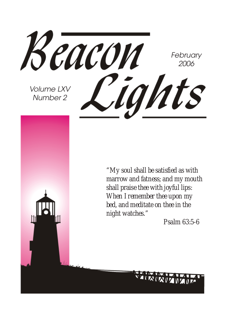

*"My soul shall be satisfied as with marrow and fatness; and my mouth shall praise thee with joyful lips: When I remember thee upon my bed, and meditate on thee in the night watches."*

*Psalm 63:5-6*

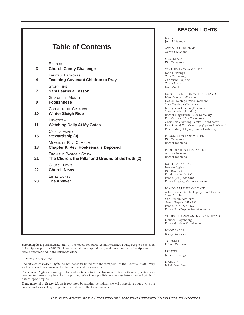| <b>Table of Contents</b> |                                                                                     |
|--------------------------|-------------------------------------------------------------------------------------|
| 3                        | <b>EDITORIAL</b><br><b>Church Candy Challenge</b>                                   |
| 4                        | <b>FRUITFUL BRANCHES</b><br><b>Teaching Covenant Children to Pray</b>               |
| $\overline{7}$           | <b>STORY TIME</b><br><b>Sam Learns a Lesson</b>                                     |
| 9                        | <b>GEM OF THE MONTH</b><br><b>Foolishness</b>                                       |
| 10                       | <b>CONSIDER THE CREATION</b><br><b>Winter Sleigh Ride</b>                           |
| 11                       | <b>DEVOTIONAL</b><br><b>Watching Daily At My Gates</b>                              |
| 15                       | CHURCH FAMILY<br>Stewardship (3)                                                    |
| 18                       | MEMOIR OF REV. C. HANKO<br><b>Chapter 9: Rev. Hoeksema Is Deposed</b>               |
| 21                       | <b>FROM THE PASTOR'S STUDY</b><br>The Church, the Pillar and Ground of theTruth (2) |
| 22                       | <b>CHURCH NEWS</b><br><b>Church News</b>                                            |
| 23                       | <b>LITTLE LIGHTS</b><br><b>The Answer</b>                                           |
|                          |                                                                                     |
|                          |                                                                                     |
|                          |                                                                                     |
|                          |                                                                                     |

Beacon Lights is published monthly by the Federation of Protestant Reformed Young People's Societies. Subscription price is \$10.00. Please send all correspondence, address changes, subscriptions, and article submissions to the business office.

#### EDITORIAL POLICY

The articles of Beacon Lights do not necessarily indicate the viewpoint of the Editorial Staff. Every author is solely responsible for the contents of his own article.

The Beacon Lights encourages its readers to contact the business office with any questions or comments. Letters may be edited for printing. We will not publish anonymous letters, but will withhold names upon request.

If any material of Beacon Lights is reprinted by another periodical, we will appreciate your giving the source and forwarding the printed periodical to the business office.

#### **BEACON LIGHTS**

EDITOR John Huizenga

ASSOCIATE EDITOR Aaron Cleveland

SECRETARY Kim Doezema

CONTENTS COMMITTEE John Huizenga Tom Cammenga Christiana DeJong Trisha Haak Kris Moelker

EXECUTIVE FEDERATION BOARD Matt Overway (President) Daniel Holstege (Vice-President) Sara Huizinga (Secretary) Jeffrey Van Uffelen (Treasurer) Sarah Koole (Librarian) Rachel Nagelkerke (Vice-Secretary) Eric Gritters (Vice-Treasurer) Greg Van Overloop (Youth Coordinator) Rev. Ronald Van Overloop (Spiritual Advisor) Rev. Rodney Kleyn (Spiritual Advisor)

PROMOTION COMMITTEE Kim Doezema Rachel Joostens

PRODUCTION COMMITTEE Aaron Cleveland Rachel Joostens

BUSINESS OFFICE Beacon Lights P.O. Box 144 Randolph, WI 53956 Phone: (920) 326-6186 Email: huizenga@powercom.net

BEACON LIGHTS ON TAPE A free service to the legally blind. Contact Sam Copple 659 Lincoln Ave. NW Grand Rapids, MI 49504 Phone: (616) 774-4132 Email: SamCopple@email.msn.com

CHURCH NEWS ANNOUNCEMENTS Melinda Bleyenberg Email: darylmel@altelco.net.

BOOK SALES Becky Kalsbeek

TYPESETTER Robert Vermeer

PRINTER James Huizinga

MAILERS Bill & Fran Leep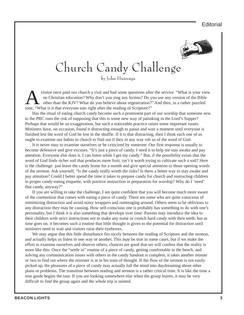**Editorial** 



# Church Candy Challenge

by John Huizenga

visitor once paid our church a visit and had some questions after the service. "What is your view<br>on Christian education? Why don't you sing any hymns? Do you use any version of the Bible<br>other than the KJV? What do you be on Christian education? Why don't you sing any hymns? Do you use any version of the Bible other than the KJV? What do you believe about regeneration?" And then, in a rather puzzled tone, "What is it that everyone eats right after the reading of Scripture?"

Has the ritual of eating church candy become such a prominent part of our worship that someone new to the PRC runs the risk of supposing that this is some new way of partaking in the Lord's Supper? Perhaps that would be an exaggeration, but such a noticeable practice raises some important issues. Ministers have, on occasion, found it distracting enough to pause and wait a moment until everyone is finished lest the word of God be lost in the shuffle. If it is that distracting, then I think each one of us ought to examine our habits in church to find out if they in any way rob us of the word of God.

It is never easy to examine ourselves or be criticized by someone. Our first response is usually to become defensive and give excuses. "It's just a piece of candy. I need it to help me stay awake and pay attention. Everyone else does it. I can listen while I get my candy." But, if the possibility exists that the word of God finds richer soil that produces more fruit, isn't it worth trying to cultivate such a soil? Here is the challenge: just leave the candy home for a month and give special attention to those opening words of the sermon. Ask yourself, "Is the candy really worth the risks? Is there a better way to stay awake and pay attention? Could I better spend the time it takes to prepare candy for church and instructing children in proper candy-eating etiquette, with positive instruction in preparation for worship? Why do I 'need' that candy, anyway?"

If you are willing to take the challenge, I am quite confident that you will become much more aware of the commotion that comes with eating a piece of candy. There are some who are quite conscious of minimizing distraction and avoid noisy wrappers and rummaging around. Others seem to be oblivious to any distraction they may be causing. How self-conscious one is probably has something to do with one's personality, but I think it is also something that develops over time. Parents may introduce the idea to their children with strict instructions not to make any noise or crunch hard candy with their teeth; but as time goes on, it becomes such a routine that little thought is given to the potential for distraction until ministers need to wait and visitors raise their eyebrows.

We may argue that this little disturbance fits nicely between the reading of Scripture and the sermon, and actually helps us listen in one way or another. This may be true in some cases, but if we make the effort to examine ourselves and observe others, chances are good that we will confess that the reality is more like this: Once the "settle in" routine of a piece of candy, getting comfortable in the bench, and solving any communication issues with others in the candy handout is complete, it takes another minute or two to find out where the minister is at in his train of thought. If the flow of the sermon is not easily picked up, the pleasures of a piece of candy may actually lull the mind into daydreaming about other plans or problems. The transition between reading and sermon is a rather critical time. It is like the time a tour guide begins the tour. If you are looking somewhere else when the group leaves, it may be very difficult to find the group again and the whole trip is tainted.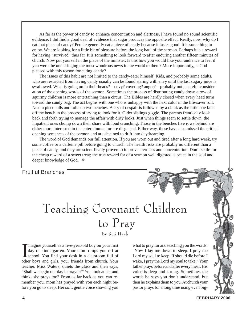As far as the power of candy to enhance concentration and alertness, I have found no sound scientific evidence. I did find a good deal of evidence that sugar produces the opposite effect. Really, now, why do I eat that piece of candy? People generally eat a piece of candy because it tastes good. It is something to enjoy. We are looking for a little bit of pleasure before the long haul of the sermon. Perhaps it is a reward for having "survived" thus far. It is something to look forward to after enduring another fifteen minutes of church. Now put yourself in the place of the minister. Is this how you would like your audience to feel if you were the one bringing the most wondrous news in the world to them? More importantly, is God pleased with this reason for eating candy?

The issues of this habit are not limited to the candy-eater himself. Kids, and probably some adults, who are restricted from having candy usually can be found staring with envy until the last sugary juice is swallowed. What is going on in their heads?—envy? coveting? anger?—probably not a careful consideration of the opening words of the sermon. Sometimes the process of distributing candy down a row of squirmy children is more entertaining than a circus. The Bibles are hardly closed when every head turns toward the candy bag. The act begins with one who is unhappy with the next color in the life-saver roll. Next a piece falls and rolls up two benches. A cry of despair is followed by a clunk as the little one falls off the bench in the process of trying to look for it. Older siblings giggle. The parents frantically look back and forth trying to manage the affair with dirty looks. Just when things seem to settle down, the impatient ones chomp down their share with loud crunching. Those in the benches five rows behind are either more interested in the entertainment or are disgusted. Either way, these have also missed the critical opening sentences of the sermon and are destined to drift into daydreaming.

The word of God demands our full attention. If you are worn out and tired after a long hard week, try some coffee or a caffeine pill before going to church. The health risks are probably no different than a piece of candy, and they are scientifically proven to improve alertness and concentration. Don't settle for the cheap reward of a sweet treat; the true reward for of a sermon well digested is peace in the soul and deeper knowledge of God. ❖

### Fruitful Branches

# Teaching Covenant Children to Pray

By Keri Haak

Imagine yourself as a five-year-old boy on your first<br>day of kindergarten. Your mom drops you off at<br>school. You find your desk in a classroom full of<br>other boys and girls, your friends from church. Your magine yourself as a five-year-old boy on your first day of kindergarten. Your mom drops you off at school. You find your desk in a classroom full of teacher, Miss Waters, quiets the class and then says, "Shall we begin our day in prayer?" You look at her and think- she prays too? From as far back as you can remember your mom has prayed with you each night before you go to sleep. Her soft, gentle voice showing you

what to pray for and teaching you the words: "Now I lay me down to sleep. I pray the Lord my soul to keep. If should die before I wake, I pray the Lord my soul to take." Your father prays before and after every meal. His voice is deep and strong. Sometimes the words he says you don't understand, but then he explains them to you. At church your pastor prays for a long time using even big-

**4 FEBRUARY 2006**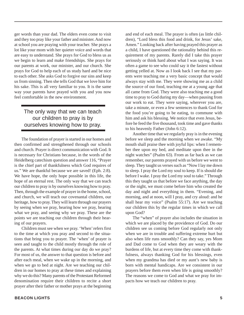ger words than your dad. The elders even come to visit and they too pray like your father and minister. And now at school you are praying with your teacher. She prays a lot like your mom with her quieter voice and words that are easy to understand. She prays for God to bless us as we begin to learn and make friendships. She prays for our parents at work, our minister, and our church. She prays for God to help each of us study hard and be nice to each other. She asks God to forgive our sins and keep us from sinning. Then she tells God that we love him for his sake. This is all very familiar to you. It is the same way your parents have prayed with you and you now feel comfortable in the new environment.

### The only way that we can teach our children to pray is by ourselves knowing how to pray.

The foundation of prayer is started in our homes and then confirmed and strengthened through our schools and church. Prayer is direct communication with God. It is necessary for Christians because, in the words of the Heidelberg catechism question and answer 116, "Prayer is the chief part of thankfulness which God requires of us." We are thankful because we are saved! (Eph. 2:8). We have hope, the only hope possible in this life, the hope of an eternal rest. The only way that we can teach our children to pray is by ourselves knowing how to pray. Then, through the example of prayer in the home, school, and church, we will teach our covenantal children, our heritage, how to pray. They will learn through our prayers by seeing when we pray, hearing how we pray, hearing what we pray, and seeing why we pray. These are the points we are teaching our children through their hearing of our prayers.

Children must see when we pray. 'When' refers first to the time at which you pray and second to the situations that bring you to prayer. The 'when' of prayer is seen and taught to the child mostly through the role of the parents. At what times during our day do we pray? For most of us, the answer to that question is before and after each meal, when we wake up in the morning, and when we go to bed at night. Are we teaching our children in our homes to pray at these times and explaining why we do this? Many parents of the Protestant Reformed denomination require their children to recite a short prayer after their father or mother prays at the beginning and end of each meal. The prayer is often (as little children), "Lord bless this food and drink, for Jesus' sake, Amen." Looking back after having prayed this prayer as a child, I have questioned the rationality behind this requirement of my parents. Rarely did I take this prayer seriously or think hard about what I was saying. It was often a game to see who could say it the fastest without getting yelled at. Now as I look back I see that my parents were teaching me a very basic concept that would always stay with me. They were showing me as a child the source of our food, teaching me at a young age that all came from God. They were also teaching me a good time to pray to God during my day—when pausing from our work to eat. They were saying, wherever you are, take a minute, or even a few sentences to thank God for the food you're going to be eating, to commune with him and ask his blessing. We notice that even Jesus, before he feed the five thousand, took time and gave thanks to his heavenly Father (John 6:12).

Another time that we regularly pray is in the evening before we sleep and the morning when we awake. "My mouth shall praise thee with joyful lips: when I remember thee upon my bed, and meditate upon thee in the night watches" (Psalm 63). From as far back as we can remember, our parents prayed with us before we went to sleep. They taught us verses such as "Now I lay me down to sleep. I pray the Lord my soul to keep. If is should die before I wake. I pray the Lord my soul to take." Through this they taught us that before we face anything, the day or the night, we must come before him who created the day and night and everything in them. "Evening, and morning, and at noon, will I pray, and cry aloud: and he shall hear my voice" (Psalm 55:17). Are we teaching our children this by the regular times in which we call upon God?

The "when" of prayer also includes the situation in which we are placed by the providence of God. Do our children see us coming before God regularly not only when we are in trouble and suffering extreme hurt but also when life runs smoothly? Can they say, yes Mom and Dad come to God when they are weary with the burdens of life, but at every time they come with thankfulness, always thanking God for his blessings, even when my grandma has died or my aunt's new baby is born with mental handicaps. Are we consistent in our prayers before them even when life is going smoothly? The reasons we come to God and what we pray for impacts how we teach our children to pray.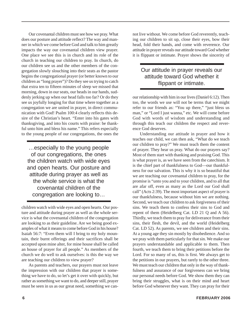Our covenantal children must see how we pray. What does our posture and attitude reflect? The way and manner in which we come before God and talk to him greatly impacts the way our covenantal children view prayer. One place we see this is in church and its role of the church in teaching our children to pray. In church, do our children see us and the other members of the congregation slowly slouching into their seats as the pastor begins the congregational prayer (or better known to our children as "long prayer")? Do they see us trying to catch that extra ten to fifteen minutes of sleep we missed that morning, down in our seats, our heads in our hands, suddenly jerking up when our head falls too far? Or do they see us joyfully longing for that time where together as a congregation we are united in prayer, in direct communication with God! Psalm 100:4 clearly reflects this desire of the Christian's heart. "Enter into his gates with thanksgiving, and into his courts with praise: be thankful unto him and bless his name." This refers especially to the young people of our congregations, the ones the

…especially to the young people of our congregations, the ones the children watch with wide eyes and open hearts. Our posture and attitude during prayer as well as the whole service is what the covenantal children of the congregation are looking to…

children watch with wide eyes and open hearts. Our posture and attitude during prayer as well as the whole service is what the covenantal children of the congregation are looking to as their guideline. Are we being good examples of what it means to come before God in his house? Isaiah 56:7: "Even them will I bring to my holy mountain, their burnt offerings and their sacrifices shall be accepted upon mine alter, for mine house shall be called an house of prayer for all people." As members of the church we do well to ask ourselves: is this the way we are teaching our children to view prayer?

As parents and teachers, our prayers must not leave the impression with our children that prayer is something we have to do, so let's get it over with quickly, but rather as something we want to do, and deeper still, prayer must be seen in us as our great need, something we cannot live without. We come before God reverently, teaching our children to sit up, close their eyes, bow their head, fold their hands, and come with reverence. Our attitude in prayer reveals our attitude toward God whether it is flippant or intimate. Prayer shows the sincerity of

### Our attitude in prayer reveals our attitude toward God whether it flippant or intimate.

our relationship with him in our lives (Daniel 6:12). Then too, the words we use will not be terms that we might refer to our friends as: "You up there," "just bless us man," or "Lord I just wanna," etc. We will come before God with words of wisdom and understanding and through this teach our children the respect and reverence God deserves.

Understanding our attitude in prayer and how it teaches our child, we can then ask, "What do we teach our children to pray?" We must teach them the content of prayer. They hear us pray. What do our prayers say? Most of them start with thanking and praising God. This is what prayer is, as we have seen from the catechism. It is the chief part of thankfulness to God—our thankfulness for our salvation. This is why it is so beautiful that we are teaching our covenantal children to pray, for the promise is "unto you and to your children, and to all that are afar off, even as many as the Lord our God shall call" (Acts 2:39). The most important aspect of prayer is our thankfulness, because without him we are nothing. Second, we teach our children to ask forgiveness of their sins. We teach them to confess their sins to God and repent of them (Heidelberg Cat. LD 21 Q and A 56). Thirdly, we teach them to pray for deliverance from their sins, their flesh, the devil, and the world (Heidelberg Cat. LD 52). As parents, we see children and their sins. At a young age they sin mostly by disobedience. And so we pray with them particularly for that sin. We make our prayers understandable and applicable to them. Then fourth, we teach them to bring their petitions before the Lord. For so many of us, this is first. We always get to the petitions in our prayers, but rarely to the other three. We must teach our children that only in the way of thankfulness and assurance of our forgiveness can we bring our personal needs before God. We show them they can bring their struggles, what is on their mind and heart before God whenever they want. They can pray for their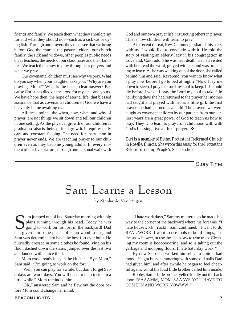friends and family. We teach them what they should pray for and what they should not—such as a sick cat or dying fish. Through our prayers they must see that we bring before God the church, the pastors, elders, our church family, the sick and widows, other peoples public needs or, as teachers, the needs of our classmates and their families. We teach them how to pray through our prayers and what we pray.

Our covenantal children must see why we pray. What do you say when your daughter asks you, "Why are you praying, Mom?" What is the basic, clear answer? Because Christ has died on the cross for my sins, and yours. We have hope then, the hope of eternal life, that blessed assurance that as covenantal children of God we have a heavenly home awaiting us.

All these points, the when, how, what, and why of prayer, are not things we sit down and tell our children in one setting. As the physical growth of our children is gradual, so also is their spiritual growth. It requires daily care and constant feeding. The need for instruction in prayer never ends. We are teaching prayer to our children even as they become young adults. In every moment of our lives we are, through our personal walk with

God and our own prayer life, instructing others in prayer. This is how children will learn to pray.

At a recent retreat, Rev. Cammenga shared this story with us. I would like to conclude with it. He told the story of visiting an elderly lady in his congregation in Loveland, Colorado. She was near death. He had visited with her, read the word, prayed with her and was preparing to leave. As he was walking out of the door, she called behind him and said, Reverend, you want to know what I pray now before I go to bed at night? "Now I lay me down to sleep, I pray the Lord my soul to keep. If I should die before I wake, I pray the Lord my soul to take." In her dying days she had returned to the prayer her mother had taught and prayed with her as a little girl, the first prayer she had learned as a child. The prayers we were taught as covenant children by our parents from our earliest years are a great power of God to teach us how to pray. They who learn to pray from childhood will, with God's blessing, live a life of prayer. ❖

*Keri is a member of Bethel Protestant Reformed Church in Roselle, Illinois. She wrote this essay for the Protestant Reformed Young People's Scholarship.*

*\_\_\_\_\_\_\_\_\_\_\_\_\_\_\_\_\_\_\_\_\_\_\_\_\_\_\_\_\_\_\_\_\_\_\_\_\_\_\_\_\_\_\_\_\_\_\_\_*

Story Time

### Sam Learns a Lesson

by Stephanie Van Engen

Sam jumped out of bed Saturday morning with big<br>plans running through his head. Today he was<br>going to work on his fort in the backyard! Dad<br>had given him some pieces of scrap wood to use and plans running through his head. Today he was going to work on his fort in the backyard! Dad had given him some pieces of scrap wood to use, and Sam was determined to have the best fort ever built. He hurriedly dressed in some clothes he found lying on his floor, dashed down the stairs, jumped over the last two and landed with a nice thud.

Mom was already busy in the kitchen. "Bye, Mom," Sam said. "I'm going to work on the fort."

"Well, you can play for awhile, but don't forget Saturdays are work days. You will need to help inside in a little while," Mom reminded him.

"OK," answered Sam and he flew out the door before Mom could change her mind.

"I hate work days," Sammy muttered as he made his way to the corner of the backyard where his fort was. "I hate housework! Yuck!" Sam continued. "I want to do REAL WORK. I want to use tools to build things, use the snow blower, or use the chain saw to trim trees. Cleaning my room is boooooooring, and so is taking out the garbage and mopping floors. I hate Saturday work!"

By now Sam had worked himself into quite a bad mood. He got busy hammering with some old nails Dad had given him, and after awhile he began to feel cheerful again…until his loud little brother called him inside.

Robby, Sam's little brother yelled loudly out the back door, "SAAAMM, MOM SAAAYS YOU HAVE TO COME IN AND WORK NOWWW!"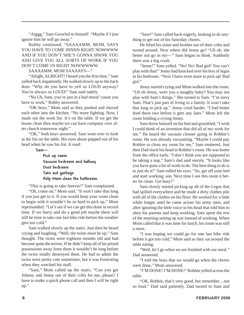"Arggg," Sam Growled to himself. "Maybe if I just ignore him he will go away."

Robby continued, "SAAAAMM, MOM, SAYS YOU HAVE TO COME INNNN RIGHT NOWWWW AND IF YOU DON'T SHE'S GONNA SPANK YOU AND GIVE YOU ALL SORTS OF WORK IF YOU DON'T COME 1N RIGHT NOWWWWW.

SAAAAMM, MOM SAAAAYS—"

"Alright, ALRIGHT! I heard you the first time," Sam yelled back impatiently. He walked slowly up to the back door. "Why do you have to yell so LOUD anyway? You're always so LOUD!" Sam said rudely.

"Nu Uh, Sam, you're just in a bad mood 'cause you have to work," Robby answered.

"OK boys," Mom said as they pushed and shoved each other into the kitchen. "No more fighting. Now, I made out the work list. It's on the table. If we get the house clean then maybe we can have company over after church tomorrow night."

"OK," both boys answered. Sam went over to look at the list on the table. His eyes about popped out of his head when he saw his list. It read:

Sam—

Pick up room Vacuum bedroom and hallway Dust bedroom Take out garbage Help Mom clean the bathroom

"This is going to take forever!" Sam complained.

"Oh, come on," Mom said. "It won't take that long if you just get to it. If you would keep your room clean to begin with it wouldn't be so hard to pick up." Mom reprimanded. "Let's see if we can get this done in record time. If we hurry and do a good job maybe there will still be time to take one last bike ride before the weather gets too cold."

Sam walked slowly up the stairs. Just then he heard crying and laughing. "Well, the twins must be up." Sam thought. The twins were eighteen months old and had become quite the terrors. If he didn't keep all of his prized possessions away from them it wouldn't be long before the twins totally destroyed them. He had to admit the twins were pretty cute sometimes, but it was frustrating when they wrecked his stuff.

"Sam," Mom called up the stairs. "Can you get Johnny and Jenny out of their cribs for me, please? I have to make a quick phone call and then I will be right up."

"Sure!" Sam called back eagerly, looking to do anything to get out of his Saturday chores.

He lifted his sister and brother out of their cribs and turned around. Now where did Jenny go? "Uh oh, she better not go in my—" Sam began to think. Suddenly there was a big crash.

"Jenny!" Sam yelled. "No! No! Bad girl! You can't play with that!" Jenny had knocked over his box of legos in his bedroom. "Now I have even more to pick up! Bad girl."

Jenny started crying and Mom walked into the room. "Uh oh Jenny, were you a naughty baby? You may not play with Sam's things." She turned to Sam. "I'm sorry Sam. That's just part of living in a family. It won't take that long to pick up." Jenny cried harder. "I had better feed these two before it gets any later." Mom left the room holding a crying Jenny.

Sam threw himself on his bed and grumbled, "I wish I could think of an invention that did all of my work for me." He heard the vacuum cleaner going in Robbie's room. He was already vacuuming. "Maybe I could pay Robbie to clean my room for me," Sam muttered. Just then Dad stuck his head in Robbie's room. He was home from the office early. "I don't think you are supposed to be taking a nap," Sam's dad said sternly. "It looks like you have quite a bit of work to do. The best thing to do is to just do it!" Sam rolled his eyes. "So, get off your bed and start working, son. Next time I see this room it better be clean. Get busy!"

Sam slowly started picking up all of the Legos that had spilled everywhere and he made a dirty clothes pile with all of the clothes on his floor. He worked for a little while longer until he came across his army men, and after ignoring the little voice in his head that told him to obey his parents and keep working, Sam spent the rest of the morning setting up war instead of working. When Mom called that it was time for lunch, his room was still a mess.

"I was hoping we could go for one last bike ride before it got too cold," Mom said as they sat around the table eating.

"Well, let's go when we are finished with our meal." Dad answered.

"I told the boys that we would go when the chores were done," Mom answered.

"I'M DONE! I'M DONE!" Robbie yelled across the table.

"OK, Robbie, that's very good, but remember…not so loud." Dad said patiently. Dad turned to Sam and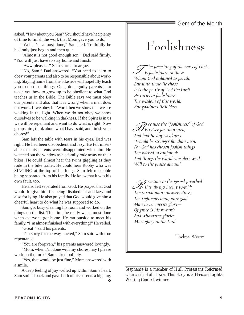Gem of the Month

asked, "How about you Sam? You should have had plenty of time to finish the work that Mom gave you to do."

"Well, I'm almost done," Sam lied. Truthfully he had only just begun and then quit.

"Almost is not good enough son," Dad said firmly. "You will just have to stay home and finish."

"Aww please…" Sam started to argue.

"No, Sam," Dad answered. "You need to learn to obey your parents and also to be responsible about working. Staying home from the bike ride will hopefully teach you to do those things. Our job as godly parents is to teach you how to grow up to be obedient to what God teaches us in the Bible. The Bible says we must obey our parents and also that it is wrong when a man does not work. If we obey his Word then we show that we are walking in the light. When we do not obey we show ourselves to be walking in darkness. If the Spirit is in us we will be repentant and want to do what is right. Now go upstairs, think about what I have said, and finish your chores!"

Sam left the table with tears in his eyes. Dad was right. He had been disobedient and lazy. He felt miserable that his parents were disappointed with him. He watched out the window as his family rode away on their bikes. He could almost hear the twins giggling as they rode in the bike trailer. He could hear Robby who was SINGING at the top of his lungs. Sam felt miserable being separated from his family. He knew that it was his own fault, too.

He also felt separated from God. He prayed that God would forgive him for being disobedient and lazy and also for lying. He also prayed that God would give him a cheerful heart to do what he was supposed to do.

Sam got busy cleaning his room and worked on the things on the list. This time he really was almost done when everyone got home. He ran outside to meet his family. "I'm almost finished with everything!" He yelled.

"Great!" said his parents.

"I'm sorry for the way I acted," Sam said with true repentance.

"You are forgiven," his parents answered lovingly.

"Mom, when I'm done with my chores may I please work on the fort?" Sam asked politely.

"Yes, that would be just fine," Mom answered with a smile.

A deep feeling of joy welled up within Sam's heart. Sam smiled back and gave both of his parents a big hug.

❖

# Foolishness

 $\mathcal{F}$  he preaching of the cross of Christ Is foolishness to those Whom God ordained to perish, But unto those He chose It is the pow'r of God the Lord! He turns to foolishness The wisdom of this world; But godliness He'll bless.

B ecause the "foolishness" of God  $\mathcal I$  Is wiser far than men; And had He any weakness 'Twould be stronger far than men. For God has chosen foolish things The wicked to confound; And things the world considers weak Will to His praise abound.

 $\mathscr D$  eaction to the gospel preached  $\mathscr{U}$  Has always been two-fold: The carnal man uncovers dross, The righteous man, pure gold. Man never merits glory— Of grace is his reward; And whosoever glories Must glory in the Lord.

Thelma Westra

*Stephanie is a member of Hull Protestant Reformed Church in Hull, Iowa. This story is a* Beacon Lights *Writing Contest winner.*

*\_\_\_\_\_\_\_\_\_\_\_\_\_\_\_\_\_\_\_\_\_\_\_\_\_\_\_\_\_\_\_\_\_\_\_\_\_\_\_\_\_\_\_\_\_\_\_\_\_\_\_\_*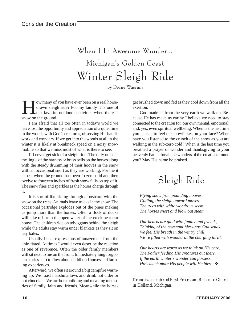### When I In Awesome Wonder… Michigan's Golden Coast Winter Sleigh Ride

by Deane Wassink

ow many of you have ever been on a real horsedrawn sleigh ride? For my family it is one of our favorite outdooor activities when there is snow on the ground.

I am afraid that all too often in today's world we have lost the opportunity and appreciation of a quiet time in the woods with God's creatures, observing His handiwork and wonders. If we get into the woods at all in the winter it is likely at breakneck speed on a noisy snowmobile so that we miss most of what is there to see.

I'll never get sick of a sleigh ride. The only noise is the jingle of the harness or brass bells on the horses along with the steady drumming of their hooves in the snow with an occasional snort as they are working. For me it is best when the ground has been frozen solid and then twelve to fourteen inches of fresh snow falls on top of it. The snow flies and sparkles as the horses charge through it.

It is sort of like riding through a postcard with the snow on the trees. Animals leave tracks in the snow. The occasional partridge explodes out of the pines making us jump more than the horses. Often a flock of ducks will take off from the open water of the creek near our house. The children ride on toboggans behind the sleigh while the adults stay warm under blankets as they sit on hay bales.

Usually I hear expressions of amazement from the uninitiated. At times I would even describe the reaction as one of reverence. Often the older family members will sit next to me on the front. Immediately long forgotten stories start to flow about childhood horses and farming experiences.

Afterward, we often sit around a big campfire warming up. We roast marshmallows and drink hot cider or hot chocolate. We are both building and recalling memories of family, faith and friends. Meanwhile the horses get brushed down and fed as they cool down from all the exertion.

God made us from the very earth we walk on. Because He has made us earthy I believe we need to stay connected to the creation for our own mental, emotional, and, yes, even spiritual wellbeing. When is the last time you paused to feel the snowflakes on your face? When have you listened to the crunch of the snow as you are walking in the sub-zero cold? When is the last time you breathed a prayer of wonder and thanksgiving to your heavenly Father for all the wonders of the creation around you? May His name be praised.

### Sleigh Ride

*Flying snow from pounding hooves, Gliding, the sleigh onward moves. The trees with white wondrous seem, The horses snort and blow out steam.*

*Our hearts are glad with family and friends, Thinking of the covenant blessings God sends. We feel His breath in the wintry chill, We're filled with wonder at the charging thrill.*

*Our hearts are warm as we think on His care, The Father feeding His creatures out there. If the earth winter's wonder can possess, How much more His people will He bless.* ❖

*\_\_\_\_\_\_\_\_\_\_\_\_\_\_\_\_\_\_\_\_\_\_\_\_\_\_\_\_\_\_\_\_\_\_\_\_\_\_\_\_\_\_\_\_\_\_ Deane is a member of First Protestant Reformed Church in Holland, Michigan.*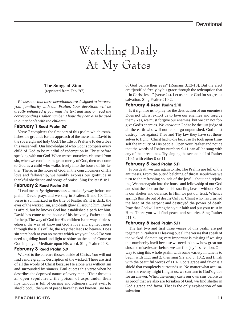# Watching Daily At My Gates

### **The Songs of Zion**

(reprinted from Feb '97)

*Please note that these devotionals are designed to increase your familiarity with our Psalter. Your devotions will be greatly enhanced if you read the text and sing or read the corresponding Psalter number. I hope they can also be used in our schools with the children.*

#### February 1 Read Psalm 5:7

Verse 7 completes the first part of this psalm which establishes the grounds for the approach of the mere man David to the sovereign and holy God. The title of Psalter #10 describes this verse well. Our knowledge of who God is compels every child of God to be mindful of redemption in Christ before speaking with our God. When we see ourselves cleansed from sin, when we consider the great mercy of God, then we come to God as a child who walks freely into the house of his father. There, in the house of God, in the consciousness of His love and fellowship, we humbly express our gratitude in thankful obedience and songs of praise. Sing Psalter #10:1.

#### February 2 Read Psalm 5:8

"Lead me in *thy* righteousness,…make *thy* way before me plain," David prays and we sing in Psalters 9 and 10. This verse is summarized in the title of Psalter #9. It is dark, the eyes of the wicked, sin, and death glow all around him. David is afraid, but he knows God has established a path for him. David has come to the house of his heavenly Father to ask for help. The way of God for His children is the way of blessedness, the way of knowing God's love and righteousness through the trials of life, the way that leads to heaven. Does sin stare back at you no matter which way you look? Do you need a guiding hand and light to shine on the path? Come to God in prayer. Meditate upon His word. Sing Psalter #9:3.

#### February 3 Read Psalm 5:9

Wicked to the core are those outside of Christ. You will not find a more graphic description of the wicked. These are first of all the words of Christ because He alone was without sin and surrounded by sinners. Paul quotes this verse when he describes the depraved nature of every man. "Their throat is an open sepulchre,…the poison of asps under their lips…mouth is full of cursing and bitterness…feet swift to shed blood…the way of peace have they not known…no fear of God before their eyes" (Romans 3:13-18). But the elect are "justified freely by his grace through the redemption that is in Christ Jesus" (verse 24). Let us praise God for so great a salvation. Sing Psalter #10:2.

#### February 4 Read Psalm 5:10

Is it right for us to pray for the destruction of our enemies? Does not Christ exhort us to love our enemies and forgive them? Yes, we must forgive our enemies, but we can not forgive God's enemies. We know our God to be the just judge of all the earth who will not let sin go unpunished. God must destroy "for against Thee and Thy law they have set themselves to fight." Christ had to die because He took upon Himself the iniquity of His people. Open your Psalter and notice that the words of Psalter numbers 9-11 can all be sung with any of the three tunes. Try singing the second half of Psalter #10:1 with either 9 or 11.

#### February 5 Read Psalm 5:11

From death we turn again to life. The Psalms are full of the antithesis. From the putrid belching of throat sepulchres we turn to the refreshing sounds of the joyful shout and rejoicing. We enter again into the house and fellowship of our God and shut the door on the hellish snarling beasts without. God is our shelter and defense. In Him we put our trust. Whence springs this life out of death? Only in Christ who has crushed the head of the serpent and destroyed the power of death. Pray that God will strengthen your faith and put your trust in Him. There you will find peace and security. Sing Psalter #11:3.

#### February 6 Read Psalm 5:11

The last two and first three verses of this psalm are put together in Psalter #11 leaving out all the verses that speak of the wicked. Something very important is missing if we sing this number by itself because we need to know how great our sins and miseries are before we can find joy in salvation. One way to sing this whole psalm with some variety in tune is to begin with 11:1 and 2, then sing 9:2 and 3, 10:2, and finish with the beautiful words of 11:4. God's grace and favor is a shield that completely surrounds us. No matter what accusations the enemy might fling at us, we can turn to God's grace for an answer. When the enemy casts our own sins before us as proof that we also are forsaken of God, we find shelter in God's grace and favor. That is the only explanation of our salvation.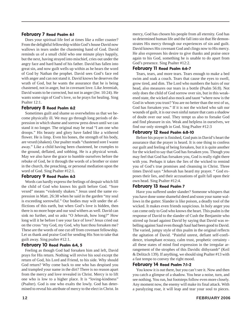#### February 7 Read Psalm 6:1

Does your spiritual life feel at times like a roller coaster? From the delightful fellowship within God's house David now wallows in tears under the chastening hand of God. David reminds us of a small child who one minute plays happily, but the next, having strayed into mischief, cries out under the angry face and hard hand of his father. David has fallen into great sin, and now guilt wells up within as he hears the word of God by Nathan the prophet. David sees God's face red with anger and can not stand it. David knows he deserves the wrath of God, but he wants the assurance that he is being chastened, not in anger, but in covenant love. Like Jeremiah, David wants to be corrected, but not in anger (Jer. 10:24). He wants some sign of God's love, so he prays for healing. Sing Psalter 12:1.

#### February 8 Read Psalm 6:2

Sometimes guilt and shame so overwhelms us that we become physically ill. We may go through long periods of depression in which shame and sorrow press down until we can stand it no longer. The original may be read "I am one who droops." His beauty and glory have faded like a withered flower. He is limp. Even his bones, the strength of his body, are vexed (shaken). Our psalter reads "chastened sore I waste away." Like a child having been chastened, he crumples to the ground, deflated, and sobbing. He is a physical wreak. May we also have the grace to humble ourselves before the rebuke of God, be it through the words of a brother or sister in the church, the preaching, or personal mediation upon the word of God. Sing Psalter #12:1.

#### February 9 Read Psalm 6:3

Words can hardly express the feelings of despair which fill the child of God who knows his guilt before God. "Sore vexed" means "violently shaken." Jesus used the same expression in Matt. 26:38 when he said in the garden "my soul is exceeding sorrowful." Our bodies may wilt under the afflictions of this earth, but when God's love is hidden, then there is no more hope and our soul withers as well. David can sink no further, and so asks "O Jehovah, how long?" How long will it be before I see your face of love? Jesus cried out on the cross "my God, my God, why hast thou forsaken me? These are the words of one cut off from covenant fellowship. Let us thank and praise God for sending His Son to take that guilt away. Sing psalter #12:1.

#### February 10 Read Psalm 6:4, 5

Feeling as though God had forsaken him and left, David prays for His return. Nothing will revive his soul except the return of God, his Lord and Friend, to his side. Why should God return? Why come back to one who has despised you and trampled your name in the dirt? There is no reason apart from the mercy and love revealed in Christ. Mercy is to lift one who is low to a higher place. It is "loving-kindness" (Psalter). God is one who exalts the lowly. God has determined to reveal his attribute of mercy to the elect in Christ. In mercy, God has chosen his people from all eternity. God has so determined human life and the fall into sin that He demonstrates His mercy through our experiences of sin and guilt. David knows His covenant God and clings now to His mercy. He also expresses his desire to give thanks and praise once again to his God, something he is unable to do apart from God's presence. Sing Psalter #12:2.

#### February 11 Read Psalm 6:6-7

Tears, tears, and more tears. Tears enough to make a bed swim and soak a couch. Tears that cause the eyes to swell, grow tired, and dim. The Lord who numbers the hairs of our head, also measures our tears in a bottle (Psalm 56:8). Not only does the child of God sorrow over sin, but in this weakened state, the wicked also mock and taunt "where now is the God in whom you trust? You are no better than the rest of us, God has forsaken you." If it is not the wicked who salt our wounds of guilt, it is our own sinful nature that casts a shadow of doubt over our soul. They tempt us also to forsake God and find pleasure in sin. Weak and helpless in ourselves, we find our only strength in God. Sing Psalter #12:3

#### February 12 Read Psalm 6:8-10

Before his prayer is finished, God puts in David's heart the assurance that the prayer is heard. It is one thing to confess our guilt and feeling of being forsaken, but it is quite another for the wicked to say that God has forsaken you. Though you may feel that God has forsaken you, God is really right there with you. Perhaps it takes the lies of the wicked to remind you of God's true promises and cleansing in Christ. Three times David says "Jehovah has heard my prayer. " God exposes their lies, and their accusations of guilt fall upon their own head. Sing Psalter #12:4.

#### February 13 Read Psalm 7

Have you suffered under slander? Someone whispers that you have done some shameful deed and soon your name wallows in the gutter. Slander is like poison, a deadly tool of the wicked. It makes even friends suspicious. In holy anger you can come only to God who knows the heart. This psalm is the response of David to the slander of Cush the Benjamite who stirred up Israel against David by saying that David was rebelling against Saul even though Saul had been good to David. The varied, jumpy style of this psalm in the original reflects the agitation of David. "Painful unrest, defiant self-confidence, triumphant ecstasy, calm trust, prophetic certainty all these states of mind find expression in the irregular arrangement of the strophes of this Davidic dithyramb" (Keil & Delitzch 139). If anything, we should sing Psalter #13 with a fast tempo to convey the right mood.

#### February 14 Read Psalm 7:1-2

You know it is out there, but you can't see it. Now and then you catch a glimpse of a shadow. You hear a noise, turn, and see nothing. You run, but footsteps follow even more closely. Any moment now, the enemy will make its final attack. With a paralyzing roar, it will leap and tear your soul to pieces.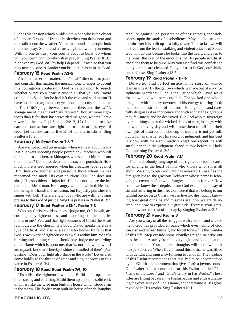Such is the tension which builds within one who is the object of slander. Groups of friends hush when you draw near and then talk about the weather. You turn around and people look the other way. Some cast a furtive glance when you enter. With no one to trust, your soul is about to burst. To whom will you turn? Turn to Jehovah in prayer. Sing Psalter #13:1 "Jehovah my God, on Thy help I depend." Pray also that you may never be one to slander your brother or sister in the Lord.

#### February 15 Read Psalm 7:3-5

An oath is a serious matter. The "selah" directs us to pause and consider this matter, the musical tone changes to accent this courageous confession. God is called upon to search whether or not your heart is true in all that you say. David cried out to Saul after he had left the cave and said to him "I have not sinned against thee; yet thou huntest my soul to take it. The LORD judge between me and thee, and the LORD avenge me of thee." And Saul replied "Thou art more righteous than I: for thou hast rewarded me good, wheras I have rewarded thee evil" (1 Samuel 24:12, 17). Let us also take care that our actions are right and true before the eyes of God. Let us take care to live all of our life in Christ. Sing Psalter #13:2.

#### February 16 Read Psalm 7:6-7

Are we not roused up in anger when we hear about heartless hijackers shooting people pointblank, mothers who kill their unborn children, or kidnapers who snatch children from their homes? Do not we demand that such be punished? How much more is God angered when his creatures rebel against Him, hate one another, and persecute those whom He has redeemed and made His own children! Our God does not shrug His shoulders at injustice, He does not ignore the hatred and pride of man, He is angry with the wicked. He does not wring His hands in frustration, but He justly punishes the sinner with hell. There are few today who are willing to sing praises to this God of justice. Sing His praises in Psalter #13:3.

#### February 17 Read Psalter #13:4, Psalm 7:8

Who but Christ could ever say "judge me, O Jehovah, according to my righteousness, and according to mine integrity that is in me." Yes, and that righteousness of Christ the Head is imputed to the church, His body. David speaks here as a type of Christ, and also as a saint who knows by faith that God's own work of righteousness dwells within him. "As if a burning and shining candle should say, Judge me according to the flame which is upon me, that is, not that wherewith I am myself, but that whereby I shine enkindled of thee" (Augustine). Does your light also shine in the world? Let us also come boldly to the throne of grace and sing the words of this verse in Psalter #13:4.

#### February 18 Read Read Psalm 7:9, 10

"Establish the righteous" we sing. Build them up, make them strong and enduring. Build them up upon the solid rock of Christ like the wise man built his house which stood firm in the storm. The foolish man built his house of pride, haughty

#### **BEACON LIGHTS 13**

rebellion against God, persecution of the righteous, and wickedness upon the sands of disobedience. May that house come to ruin after it is built up as a lofty tower. Then at last we will be free from the fearful stalking and violent attacks of Satan. God will do this because he looks into the heart, and even to the reins (the seat of the emotions) of His people in Christ, and finds them to be pure. May you also find this confidence that your sins are cleansed. Put your trust in God, our shield and defense. Sing Psalter #13:5.

#### February 19 Read Psalm 7:11-16

Do we not find perfect justice in the story of wicked Haman's death by the gallows which he made out of envy for righteous Mordecai? Such is the justice which David seeks for the wicked who persecute him. The wicked one who is pregnant with iniquity devotes all his energy to bring forth lies for the destruction of the truth. He digs a pit and carefully disguises it as innocence and truth so that the righteous may fall into it and be destroyed. But God who is sovereign over all things, even the wicked deeds of men, is angry with the wicked every day and will cause them to fall into their own pits of destruction. The cup of iniquity is not yet full, but God has sharpened His sword of judgment, and has bent His bow with the arrow ready. Except one repent, he will surely perish in the judgment. Stand in awe before our holy God and sing Psalter #13:5.

#### February 20 Read Psalm 7:17

The hard, bloody language of our righteous God is cause for singing in the heart of him who knows what sin is all about. We sing to our God who has revealed Himself as the almighty Judge, the gracious Deliverer, whose name is Jehovah, the covenant God who changes not and is forever. How could we know these depths of our God except in the way of sin and suffering in this life. Comforted that we belong to our faithful Savior Jesus Christ, we can live and die happily knowing how great our sins and miseries are, how we are delivered, and how to express our gratitude. Express your gratitude now and the rest of the day by singing Psalter #13:7.

#### February 21 Read Psalm 8

Are you weary of all the struggles with your sin and wicked men? God has provided an oasis which every child of God can visit and refresh himself, and forget for a while the troubles of this life. Step outside some cloudless night, or drive out into the country away from the city lights and look up at the moon and stars. Your jumbled thoughts will be drawn back into perspective. When David found this oasis, he was filled with delight and sang a joyful song to Jehovah. The heading of this Psalm recommends that this Psalm be accompanied by the Gittith, an instrument that gives forth a joyous sound. Our Psalter has two numbers for this Psalm entitled "The Name of the Lord," and "God's Glory in His Works." These titles are fitting because this Psalm begins and ends exclaiming the excellency of God's name, and that name is His glory revealed in His works. Sing Psalter #15:1.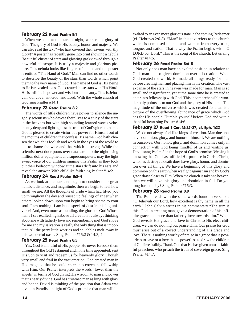#### February 22 Read Psalm 8:1

When we look at the stars at night, we see the glory of God. The glory of God is His beauty, honor, and majesty. We can also read the text "who hast covered the heavens with thy glory!" A poster has recently gone into print showing a nebula (beautiful cluster of stars and glowing gas) viewed through a powerful telescope. It is truly a majestic and glorious picture. This nebula looks like fingers of a hand and the poster is entitled "The Hand of God." Man can find no other words to describe the beauty of the stars than words which point them to the very name of God. The name of God is His Being as He is revealed to us. God created those stars with His Word. He is infinite in power and wisdom and beauty. This is Jehovah, our covenant God, and Lord. With the whole church of God sing Psalter #14:1.

#### February 23 Read Psalm 8:2

The words of little children have power to silence the ungodly scientists who devote their lives to a study of the stars in the heavens but with high sounding learned words vehemently deny and fight against the truth of God's glorious name. God is pleased to create victorious power for Himself out of the mouths of children that confess His name. God hath chosen that which is foolish and weak in the eyes of the world to put to shame the wise and that which is strong. While the scientist next door pours over data late into the night using million dollar equipment and supercomputers, may the light sweet voice of our children singing this Psalm as they look out their bedroom window at the stars drift into his ears and reveal the answer. With childlike faith sing Psalter #14:2.

#### February 24 Read Psalm 8:3-4

As we look at the stars and begin to consider their great number, distance, and magnitude, then we begin to feel how small we are. All the thoughts of pride which had lifted you up throughout the day and roused up feelings of anger when others looked down upon you begin to bring shame to your soul. I am nothing! I am but a speck of dust in this big universe! And, even more astounding, the glorious God Whose name I see exalted high above all creation, is always thinking about me with fatherly love and remembering me! God's love for me and my salvation is really the only thing that is important. All the petty little worries and squabbles melt away in this wonderful oasis. Sing Psalter #15:2 & 14:3, 4.

#### February 25 Read Psalm 8:5

Yes, God is mindful of His people. He never forsook them throughout the Old Testament and in the time appointed, sent His Son to visit and redeem us for heavenly glory. Though very small and frail in the vast creation, God created man in His image so that he could enter into covenant fellowship with Him. Our Psalter interprets the words "lower than the angels" in terms of God giving His wisdom to man and power that is nearly divine. God has crowned man as king with glory and honor. David is thinking of the position that Adam was given in Paradise in light of God's promise that man will be exalted to an even more glorious state in the coming Redeemer (cf. Hebrews 2:6-8). "Man" in this text refers to the church which is composed of men and women from every tribe, tongue, and nation. That is why the Psalm begins with "O LORD *our* Lord." This is the song of the church. Let us sing Psalter #14:5.

#### February 26 Read Psalm 8:6-8

Not only does man have an exalted position in relation to God, man is also given dominion over all creation. When God created the world, He made all things ready for man before creating man and placing him in the creation. The vast expanse of the stars in heaven was made for man. Man is so small and insignificant, yet at the same time he is created to enter into fellowship with God. This incomprehensible wonder only points us to our God and the glory of His name. The magnitude of the universe which was created for man is a picture of the overflowing abundance of grace which God has for His people. Humble yourself before God and with a thankful heart sing Psalter #14:6.

#### February 27 Read 1 Cor. 15:25-27, cf. Eph. 1:22

We do not always feel like kings of creation. Man does not have dominion, glory, and honor of himself. We are nothing in ourselves. Our honor, glory, and dominion comes only in connection with God being mindful of us and visiting us. David sang Psalm 8 in the hope of God's promise. We sing it knowing that God has fulfilled His promise in Christ. Christ, who has destroyed death does have glory, honor, and dominion over all things. We have a beginning of this glory and dominion on this earth when we fight against sin and by God's grace draw closer to Him. When the church is taken to heaven, then we will have this glory and dominion in full. Do you long for that day? Sing Psalter #15:3.

#### February 28 Read Psalm 8:9

The Psalm ends with the same words found in verse one "O Jehovah our Lord, how excellent is thy name in all the earth." John Calvin writes in his commentary "The sum is this: God, in creating man, gave a demonstration of his infinite grace and more than fatherly love towards him." When God reveals His grace and love in Christ to His elect children, we can do nothing but praise Him. Our praise for God must arise out of a correct understanding of His grace and love. There is nothing worthy of praise in a grace that is powerless to save or a love that is powerless to draw the children of God irresistibly. Thank God that He has given unto us faithful preachers who preach the truth of sovereign grace. Sing Psalter #14:7.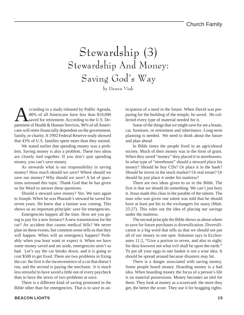# Stewardship (3) Stewardship And Money: Saving God's Way

by Darren Vink

ccording to a study released by Public Agenda, 46% of all Americans have less than \$10,000 saved for retirement. According to the U.S. Department of Health & Human Services, 96% of all Americans will retire financially dependent on the government, family, or charity. A 1992 Federal Reserve study showed that 43% of U.S. families spent more than they earned.

We stated earlier that spending money was a problem. Saving money is also a problem. These two ideas are closely tied together. If you don't quit spending money, you can't save money.

As stewards what is our responsibility in saving money? How much should we save? Where should we save our money? Why should we save? A lot of questions surround this topic. Thank God that he has given us his Word to answer these questions.

Should a steward save money? Yes. We turn again to Joseph. When he was Pharaoh's steward he saved for seven years. He knew that a famine was coming. This shows us an important principle: save for emergencies.

Emergencies happen all the time. How are you going to pay for a new furnace? A new transmission for the car? An accident that causes medical bills? We never plan on these events, but common sense tells us that they will happen. When will an emergency happen? Probably when you least want or expect it. When we have some money saved and set aside, emergencies aren't so bad. Let's say the car breaks down, and it is going to cost \$500 to get fixed. There are two problems in fixing the car: the first is the inconvenience of a car that doesn't run, and the second is paying the mechanic. It is much less stressful to have saved a little out of every paycheck than to have the stress of two problems at once.

There is a different kind of saving promoted in the Bible other than for emergencies. That is to save in anticipation of a need in the future. When David was preparing for the building of the temple, he saved. He collected every type of material needed for it.

Some of the things that we might save for are a house, car, furniture, or retirement and inheritance. Long-term planning is needed. We need to think about the future and plan ahead.

In Bible times the people lived in an agricultural society. Much of their money was in the form of grain. When they saved "money" they placed it in storehouses. In what type of "storehouse" should a steward place his money? Should he buy CDs? Or place it in the bank? Should he invest in the stock market? Or real estate? Or should he just place it under his mattress?

There are two ideas given to us in the Bible. The first is that we should do something. We can't just bury it. Jesus made this clear in the parable of the talents. The man who was given one talent was told that he should have at least put his to the exchangers for usury (Matt. 25:27). This rules out the idea of placing our savings under the mattress.

The second principle the Bible shows us about where to save for future purchases is diversification. Diversification is a big word that tells us that we should not put all of our money in one spot. Solomon says in Ecclesiastes 11:2, "Give a portion to seven, and also to eight; for thou knowest not what evil shall be upon the earth." To put all your eggs in one basket is not a wise idea. It should be spread around because disasters may hit.

There is a danger associated with saving money. Some people hoard money. Hoarding money is a bad idea. When hoarding money the focus of a person's life is on material possessions. Money becomes an idol for them. They look at money as a scorecard: the more they get, the better the score. They use it for bragging rights.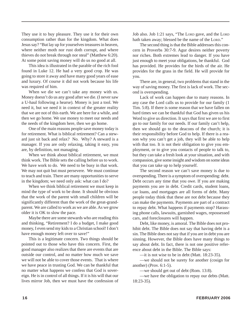They use it to buy pleasure. They use it for their own consumption rather than for the kingdom. What does Jesus say? "But lay up for yourselves treasures in heaven, where neither moth nor rust doth corrupt, and where thieves do not break through nor steal" (Matthew 6:20). At some point saving money will do us no good at all.

This idea is illustrated in the parable of the rich fool found in Luke 12. He had a very good crop. He was going to store it away and have many good years of ease and luxury. Of course it did not work because his life was required of him.

When we die we can't take any money with us. Money doesn't do us any good after we die. (I never saw a U-haul following a hearse). Money is just a tool. We need it, but we need it in context of the greater reality that we are not of this earth. We are here for a while, and then we go home. We use money to meet our needs and the needs of the kingdom here, then we go home.

One of the main reasons people save money today is for retirement. What is biblical retirement? Can a steward just sit back and relax? No. Why? A steward is a manager. If you are only relaxing, taking it easy, you are, by definition, not managing.

When we think about biblical retirement, we must think work. The Bible sets the calling before us to work. We have work to do. We need to be busy in that work. We may not quit but must persevere. We must continue to teach and train. There are many opportunities to serve in the kingdom; we need only ask: what can I do?

When we think biblical retirement we must keep in mind the type of work to be done. It should be obvious that the work of the parent with small children will be significantly different than the work of the great-grandparent. We are called to work as we are able. As we grow older it is OK to slow the pace.

Maybe there are some stewards who are reading this and thinking, "Retirement? I do a budget, I make good money, I even send my kids to a Christian school! I don't have enough money left over to save!"

This is a legitimate concern. Two things should be pointed out to those who have this concern. First, the good manager also realizes that there are events that are outside our control, and no matter how much we save we will not be able to cover those events. That is where we have peace in trusting God. We can be thankful that no matter what happens we confess that God is sovereign. He is in control of all things. If it is his will that our lives mirror Job, then we must have the confession of Job also. Job 1:21 says, "The LORD gave, and the LORD hath taken away; blessed be the name of the LORD."

The second thing is that the Bible addresses this concern in Proverbs 30:7-9. Agur desires neither poverty nor riches. Both extremes lead to danger. If you have just enough to meet your obligations, be thankful. God has provided. He provides for the birds of the air. He provides for the grass in the field. He will provide for you.

There are, in general, two problems that stand in the way of saving money. The first is lack of work. The second is overspending.

Lack of work can happen due to many reasons. In any case the Lord calls us to provide for our family (1 Tim. 5:8). If there is some reason that we have fallen on hard times we can be thankful that God has given us his Word to give us direction. It says that first we are to first go to our family for our needs. If our family can't help, then we should go to the deacons of the church; it is their responsibility before God to help. If there is a reason why you can't get a job, they will be able to help with that too. It is not their obligation to give you employment, or to give you contacts of people to talk to, but they can take a fresh look at your situation, and with compassion, give some insight and wisdom on some ideas that you can take up to help yourself.

The second reason we can't save money is due to overspending. There is a symptom of overspending: debt. Debt occurs any time that you owe. If you are making payments you are in debt. Credit cards, student loans, car loans, and mortgages are all forms of debt. Many people today think that these are not debt because they can make the payments. Payments are part of a contract to repay debt. What happens if payments stop? Harassing phone calls, lawsuits, garnished wages, repossessed cars, and foreclosures will happen.

Debt, like money, is amoral. The Bible does not prohibit debt. The Bible does not say that having debt is a sin. The Bible does not say that if you are in debt you are sinning. However, the Bible does have many things to say about debt. In fact, there is not one positive reference about debt in the Bible. The Bible says:

—it is not wise to be in debt (Matt. 18:23-35).

—we should not be surety for another (cosign for another) (Prov. 6:1-5).

—we should get out of debt (Rom. 13:8).

—we have the obligation to repay our debts (Matt. 18:23-35).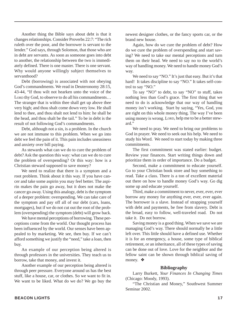Another thing the Bible says about debt is that it changes relationships. Consider Proverbs 22:7: "The rich ruleth over the poor, and the borrower is servant to the lender." God says, through Solomon, that those who are in debt are servants. As soon as someone goes into debt to another, the relationship between the two is immediately defined. There is one master. There is one servant. Why would anyone willingly subject themselves to servanthood?

Debt (borrowing) is associated with not obeying God's commandments. We read in Deuteronomy 28:15, 43-44, "If thou wilt not hearken unto the voice of the LORD thy God, to observe to do all his commandments... The stranger that is within thee shall get up above thee very high; and thou shalt come down very low. He shall lend to thee, and thou shalt not lend to him: he shall be the head, and thou shalt be the tail." To be in debt is the result of not following God's commandments.

Debt, although not a sin, is a problem. In the church we are not immune to this problem. When we go into debt we feel the pain of it. This pain includes uneasiness and anxiety over bill paying.

As stewards what can we do to cure the problem of debt? Ask the question this way: what can we do to cure the problem of overspending? Or this way: how is a Christian steward supposed to save money?

We need to realize that there is a symptom and a root problem. Think about it this way. If you have cancer and take some aspirin you may feel better. The aspirin makes the pain go away, but it does not make the cancer go away. Using this analogy, debt is the symptom of a deeper problem: overspending. We can take care of the symptom and pay off all of our debt (cars, loans, mortgages), but if we do not cut out the root of the problem (overspending) the symptom (debt) will grow back.

We have mental perceptions of borrowing. These perceptions come from the world. Our thought process has been influenced by the world. Our senses have been appealed to by marketing. We see, then buy. If we can't afford something we justify the "need," take a loan, then buy.

An example of our perception being altered is through professors in the universities. They teach us to borrow, take that money, and invest it.

Another example of our perception being altered is through peer pressure. Everyone around us has the best stuff, like a house, car, or clothes. So we want to fit in. We want to be liked. What do we do? We go buy the

newest designer clothes, or the fancy sports car, or the brand new house.

Again, how do we cure the problem of debt? How do we cure the problem of overspending and start saving? We need to take our mental perceptions and turn them on their head. We need to say no to the world's way of handling money. We need to handle money God's way.

We need to say "NO." It's just that easy. But it's that hard! It takes discipline to say "NO." It takes self-control to say "NO."

To say "NO" to debt, to say "NO" to stuff, takes nothing less than God's grace. The first thing that we need to do is acknowledge that our way of handling money isn't working. Start by saying, "Yes, God, you are right on this whole money thing. The way I've been using money is wrong. LORD, help me to be a better steward."

We need to pray. We need to bring our problems to God in prayer. We need to seek out his help. We need to study his Word. We need to start today by making three commitments.

The first commitment was stated earlier: budget. Review your finances. Start writing things down and prioritize them in order of importance. Do a budget.

Second, make a commitment to educate yourself. Go to your Christian book store and buy something to read. Take a class. There is a ton of excellent material out there on how to handle money God's way. Go dig some up and educate yourself.

Third, make a commitment to never, ever, ever, ever borrow any money for anything ever, ever, ever again. The borrower is a slave. Instead of strapping yourself with debt and payments, be free from slavery. Debt is the broad, easy to follow, well-traveled road. Do not take it. Do not borrow.

Saving money is a good thing. When we save we are managing God's way. There should normally be a little left over. This little should have a defined use. Whether it is for an emergency, a house, some type of biblical retirement, or an inheritance, all of these types of saving can be done out of love. Love for the neighbor and the fellow saint can be shown through biblical saving of money. ❖

#### **Bibliography**

Larry Burkett, *Your Finances In Changing Times* (Chicago: Moody, 1993).

"The Christian and Money," Southwest Summer Seminar 2002.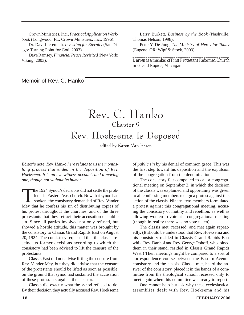Crown Ministries, Inc., *Practical Application Workbook* (Longwood, FL: Crown Ministries, Inc., 1996).

Dr. David Jeremiah, *Investing for Eternity* (San Diego: Turning Point for God, 2003).

Dave Ramsey, *Financial Peace Revisited* (New York: Viking, 2003).

Larry Burkett, *Business by the Book* (Nashville: Thomas Nelson, 1998).

Peter Y. De Jong, *The Ministry of Mercy for Today* (Eugene, OR: Wipf & Stock, 2003).

*\_\_\_\_\_\_\_\_\_\_\_\_\_\_\_\_\_\_\_\_\_\_\_\_\_\_\_\_\_\_\_\_\_\_\_\_\_\_\_\_\_\_\_\_\_ Darren is a member of First Protestant Reformed Church in Grand Rapids, Michigan.*

Memoir of Rev. C. Hanko

### Rev. C. Hanko Chapter 9 Rev. Hoeksema Is Deposed

edited by Karen Van Baren

Editor's note: *Rev. Hanko here relates to us the monthslong process that ended in the deposition of Rev. Hoeksema. It is an eye witness account, and a moving one, though not without its humor.*

The 1924 Synod's decisions did not settle the prob-<br>lems in Eastern Ave. church. Now that synod had<br>spoken, the confess his sin of distributing conjes of lems in Eastern Ave. church. Now that synod had spoken, the consistory demanded of Rev. Vander Mey that he confess his sin of distributing copies of his protest throughout the churches, and of the three protestants that they retract their accusation of public sin. Since all parties involved not only refused, but showed a hostile attitude, this matter was brought by the consistory to Classis Grand Rapids East on August 20, 1924. The consistory requested that the classis rescind its former decisions according to which the consistory had been advised to lift the censure of the protestants.

Classis East did not advise lifting the censure from Rev. Vander Mey, but they did advise that the censure of the protestants should be lifted as soon as possible, on the ground that synod had sustained the accusation of these protestants against their pastor.

Classis did exactly what the synod refused to do. By their decision they actually accused Rev. Hoeksema of *public sin* by his denial of common grace. This was the first step toward his deposition and the expulsion of the congregation from the denomination!

The consistory felt compelled to call a congregational meeting on September 2, in which the decision of the classis was explained and opportunity was given to all confessing members to sign a protest against this action of the classis. Ninety- two members formulated a protest against this congregational meeting, accusing the consistory of mutiny and rebellion, as well as allowing women to vote at a congregational meeting (though in reality there was no vote taken).

The classis met, recessed, and met again repeatedly. (It should be understood that Rev. Hoeksema and his consistory resided in Classis Grand Rapids East while Rev. Danhof and Rev. George Ophoff, who joined them in their stand, resided in Classis Grand Rapids West.) Their meetings might be compared to a sort of correspondence course between the Eastern Avenue consistory and the classis. Classis met, heard the answer of the consistory, placed it in the hands of a committee from the theological school, recessed only to meet again when this committee was ready to report.

One cannot help but ask why these ecclesiastical assemblies dealt with Rev. Hoeksema and his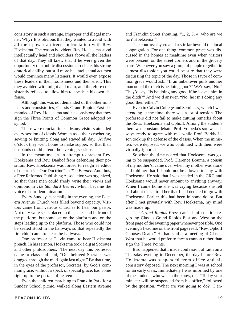consistory in such a strange, improper and illegal manner. Why? It is obvious that they wanted to avoid with all their power a direct confrontation with Rev. Hoeksema. The reason is evident. Rev. Hoeksema stood intellectually head and shoulders above all the leaders of that day. They all knew that if he were given the opportunity of a public discussion or debate, his strong oratorical ability, but still more his intellectual acumen would convince many listeners. It would even expose these leaders in their foolishness and their error. This they avoided with might and main, and therefore consistently refused to allow him to speak in his own defense.

Although this was not demanded of the other ministers and consistories, Classis Grand Rapids East demanded of Rev. Hoeksema and his consistory that they sign the Three Points of Common Grace adopted by synod.

These were crucial times. Many visitors attended every session of classis. Women took their crocheting, sewing or knitting along and stayed all day. At five o'clock they went home to make supper, so that their husbands could attend the evening sessions.

In the meantime, in an attempt to prevent Rev. Hoeksema and Rev. Danhof from defending their position, Rev. Hoeksema was forced to resign as editor of the rubric "Our Doctrine" in *The Banner*. And thus, a Free Reformed Publishing Association was organized, so that these men could freely write their views and opinions in *The Standard Bearer*, which became the voice of our denomination.

Every Sunday, especially in the evening, the Eastern Avenue Church was filled beyond capacity. Visitors came from various churches to hear our pastor. Not only were seats placed in the aisles and in front of the platform, but some sat on the platform and on the steps leading up to the platform. Those who could not be seated stood in the hallways so that repeatedly the fire chief came to clear the hallways.

One professor at Calvin came to hear Hoeksema preach. In his sermon, Hoeksema took a dig at Socrates and other philosophers. The next day this professor came to class and said, "Our beloved Socrates was dragged through the mud again last night." By that time, in the eyes of the professor, Socrates, by God's common grace, without a speck of special grace, had come right up to the portals of heaven.

Even the children marching to Franklin Park for a Sunday School picnic, walked along Eastern Avenue and Franklin Street shouting, "1, 2, 3, 4, who are we for? Hoeksema!"

The controversy created a stir far beyond the local congregation. For one thing, common grace was discussed in the homes at mealtime even when visitors were present, on the street corners and in the grocery store. Whenever you saw a group of people together in earnest discussion you could be sure that they were discussing the topic of the day. Those in favor of common grace would ask, "If an unbeliever pulls another man out of the ditch is he doing good?" We'd say, "No." They'd say, "Is he doing any good if he leaves him in the ditch?" And we'd answer, "No, he isn't doing any good then either."

Even in Calvin College and Seminary, which I was attending at the time, there was a lot of tension. The professors did not fail to make cutting remarks about the Revs. Hoeksema and Ophoff. Among the students there was constant debate. Prof. Volbeda's son was always ready to agree with me, while Prof. Berkhof's son took up the defense of the classis. When the ministers were deposed, we who continued with them were virtually ignored.

So when the time neared that Hoeksema was going to be suspended, Prof. Clarence Bouma, a cousin of my mother's, came over when my mother was alone and told her that I should not be allowed to stay with Hoeksema. He said that I was needed in the CRC and Hoeksema would never amount to anything anyway. When I came home she was crying because she felt bad about that. I told her that I had decided to go with Hoeksema. Earlier this had been in some doubt. But after I met privately with Rev. Hoeksema, my mind was made up.

The *Grand Rapids Press* carried information regarding Classes Grand Rapids East and West on the front page of the evening paper whenever possible. One evening a headline on the front page read: "Rev. Ophoff Chooses Death." He had said at a meeting of Classis West that he would prefer to face a cannon rather than sign the Three Points.

It so happened that I made confession of faith on a Thursday evening in December, the day before Rev. Hoeksema was suspended from office and his consistory deposed. The next morning I was at school for an early class. Immediately I was informed by one of the students who was in the know, that "Today your minister will be suspended from his office," followed by the question, "What are you going to do?" I an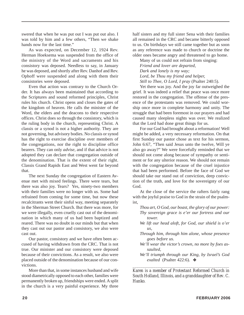swered that when he was put out I was put out also. I was told by him and a few others, "Then we shake hands now for the last time."

As was expected, on December 12, 1924 Rev. Herman Hoeksema was suspended from the office of the ministry of the Word and sacraments and his consistory was deposed. Needless to say, in January he was deposed, and shortly after Rev. Danhof and Rev. Ophoff were suspended and along with them their consistories were deposed.

Even that action was contrary to the Church Order. It has always been maintained that according to the Scriptures and sound reformed principles, Christ rules his church. Christ opens and closes the gates of the kingdom of heaven. He calls the minister of the Word, the elders and the deacons to their respective offices. Christ does so through the consistory, which is the ruling body in the church, representing Christ. A classis or a synod is not a higher authority. They are not governing, but advisory bodies. No classis or synod has the right to exercise discipline over members of the congregations, nor the right to discipline office bearers. They can only *advise*, and if that advice is not adopted they can declare that congregation outside of the denomination. That is the extent of their right. Classis Grand Rapids East and West went far beyond that.

The next Sunday the congregation of Eastern Avenue met with mixed feelings. There were tears, but there was also joy. Tears? Yes, ninety-two members with their families were no longer with us. Some had refrained from coming for some time, but now these recalcitrants went their sinful way, meeting separately in the Sherman Street Church. But there was more, for we were illegally, even cruelly cast out of the denomination in which many of us had been baptized and reared. There was no doubt in our minds but that when they cast out our pastor and consistory, we also were cast out.

Our pastor, consistory and we have often been accused of having withdrawn from the CRC. That is not true. Our minister and our consistory were deposed because of their convictions. As a result, we also were placed outside of the denomination because of our convictions.

More than that, in some instances husband and wife stood diametrically opposed to each other, families were permanently broken up, friendships were ended. A split in the church is a very painful experience. My three

half sisters and my full sister Sena with their families all remained in the CRC and became bitterly opposed to us. On birthdays we still came together but as soon as any reference was made to church or doctrine the older ones became angry and threatened to go home.

Many of us could not refrain from singing: *Friend and lover are departed, Dark and lonely is my way; Lord, be Thou my friend and helper, Still to Thee, O Lord, I pray* (Psalter 240:5).

Yet there was joy. And the joy far outweighed the grief. It was indeed a relief that peace was once more restored in the congregation. The offense of the presence of the protestants was removed. We could worship once more in complete harmony and unity. The struggle that had been foremost in our prayers and had caused many sleepless nights was over. We realized that the Lord had done great things for us.

For our God had brought about a reformation! Well might be added, a very necessary reformation. On that first Sunday our pastor chose as text for his sermon, John 6:67, "Then said Jesus unto the twelve, Will ye also go away?" We were forcefully reminded that we should not come along because of sympathy or sentiment or for any ulterior reason. We should not remain with the congregation because of the cruel injustice that had been performed. Before the face of God we should take our stand out of conviction, deep conviction of the truth, and love for the sovereignty of our God.

At the close of the service the rafters fairly rang with the joyful praise to God in the strain of the psalmist,

- *Thou art, O God, our boast, the glory of our power: Thy sovereign grace is e'er our fortress and our tower.*
- *We lift our head aloft, for God, our shield is o'er us,*
- *Through him, through him alone, whose presence goes before us.*
- *We'll wear the victor's crown, no more by foes assaulted,*
- *We'll triumph through our King, by Israel's God exalted* (Psalter 422:6). ❖

*\_\_\_\_\_\_\_\_\_\_\_\_\_\_\_\_\_\_\_\_\_\_\_\_\_\_\_\_\_\_\_\_\_\_\_\_\_\_\_\_\_\_\_\_\_\_\_\_\_\_ Karen is a member of Protestant Reformed Church in South Holland, Illinois, and a granddaughter of Rev. C. Hanko.*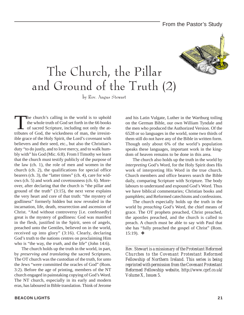### From the Pastor's Study



## The Church, the Pillar and Ground of the Truth (2)

by Rev. Angus Stewart

The church's calling in the world is to uphold<br>the whole truth of God set forth in the 66 books<br>of sacred Scripture, including not only the at-<br>tributes of God, the wickedness of man, the irresistthe whole truth of God set forth in the 66 books of sacred Scripture, including not only the attributes of God, the wickedness of man, the irresistible grace of the Holy Spirit, the Lord's covenant with believers and their seed, etc., but also the Christian's duty "to do justly, and to love mercy, and to walk humbly with" his God (Mic. 6:8). From I Timothy we learn that the church must testify publicly of the purpose of the law (ch. 1), the role of men and women in the church (ch. 2), the qualifications for special office bearers (ch. 3), the "latter times" (ch. 4), care for widows (ch. 5) and work and covetousness (ch. 6). Moreover, after declaring that the church is "the pillar and ground of the truth"  $(3:15)$ , the next verse explains the very heart and core of that truth: "the mystery of godliness" formerly hidden but now revealed in the incarnation, life, death, resurrection and ascension of Christ. "And without controversy [i.e. confessedly] great is the mystery of godliness: God was manifest in the flesh, justified in the Spirit, seen of angels, preached unto the Gentiles, believed on in the world, received up into glory" (3:16). Clearly, declaring God's truth to the nations centres on proclaiming Him who is "the way, the *truth*, and the life" (John 14:6).

The church holds up the truth in the world, in part, by *preserving and translating* the sacred Scriptures. The OT church was the custodian of the truth, for unto the Jews "were committed the oracles of God" (Rom. 3:2). Before the age of printing, members of the NT church engaged in painstaking copying of God's Word. The NT church, especially in its early and modern eras, has laboured in Bible translation. Think of Jerome

and his Latin Vulgate, Luther in the Wartburg toiling on the German Bible, our own William Tyndale and the men who produced the Authorized Version. Of the 6528 or so languages in the world, some two thirds of them still do not have any of the Bible in written form. Though only about 6% of the world's population speaks these languages, important work in the kingdom of heaven remains to be done in this area.

The church also holds up the truth in the world by *interpreting* God's Word, for the Holy Spirit does His work of interpreting His Word in the true church. Church members and office bearers search the Bible daily, comparing Scripture with Scripture. The body labours to understand and expound God's Word. Thus we have biblical commentaries; Christian books and pamphlets; and Reformed catechisms and confessions.

The church especially holds up the truth in the world by *preaching* God's Word, the chief means of grace. The OT prophets preached, Christ preached, the apostles preached, and the church is called to preach. A church must be able to say with Paul that she has "fully preached the gospel of Christ" (Rom. 15:19). ❖

*Rev. Stewart is a missionary of the Protestant Reformed Churches to the Covenant Protestant Reformed Fellowship of Northern Ireland. This series is being reprinted with permission from the Covenant Protestant Reformed Fellowship website, http://www.cprf.co.uk/ Volume X, Issues 5.*

*\_\_\_\_\_\_\_\_\_\_\_\_\_\_\_\_\_\_\_\_\_\_\_\_\_\_\_\_\_\_\_\_\_\_\_\_\_\_\_\_\_\_\_\_\_\_\_\_\_\_*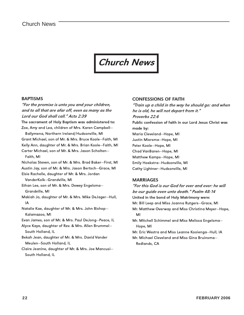

#### **BAPTISMS**

"For the promise is unto you and your children, and to all that are afar off, even as many as the Lord our God shall call." Acts 2:39

The sacrament of Holy Baptism was administered to: Zoe, Amy and Lea, children of Mrs. Karen Campbell—

Ballymena, Northern Ireland/Hudsonville, MI Grant Michael, son of Mr. & Mrs. Bruce Koole—Faith, MI Kelly Ann, daughter of Mr. & Mrs. Brian Koole—Faith, MI Carter Michael, son of Mr. & Mrs. Jason Scholten—

Faith, MI

Nicholas Steven, son of Mr. & Mrs. Brad Baker—First, MI Austin Jay, son of Mr. & Mrs. Jason Bertsch—Grace, MI Elsie Rachelle, daughter of Mr. & Mrs. Jordan VanderKolk—Grandville, MI Ethan Lee, son of Mr. & Mrs. Dewey Engelsma—

Grandville, MI

- Makiah Jo, daughter of Mr. & Mrs. Mike DeJager—Hull, IA
- Natalie Kae, daughter of Mr. & Mrs. John Bishop— Kalamazoo, MI

Evan James, son of Mr. & Mrs. Paul DeJong—Peace, IL

Alyce Kaye, daughter of Rev. & Mrs. Allen Brummel— South Holland, IL

Bekah Jean, daughter of Mr. & Mrs. David Vander Meulen—South Holland, IL

Claire Jeanine, daughter of Mr. & Mrs. Joe Mancusi— South Holland, IL

#### CONFESSIONS OF FAITH

"Train up a child in the way he should go: and when he is old, he will not depart from it." Proverbs 22:6 Public confession of faith in our Lord Jesus Christ was made by: Maria Cleveland—Hope, MI Justin Miersma—Hope, MI Peter Koole—Hope, MI Chad VanBaren—Hope, MI Matthew Kamps—Hope, MI Emily Hoekstra—Hudsonville, MI Cathy Lightner—Hudsonville, MI

#### **MARRIAGES**

"For this God is our God for ever and ever: he will be our guide even unto death." Psalm 48:14 United in the bond of Holy Matrimony were: Mr. Bill Leep and Miss Joanna Rutgers—Grace, MI Mr. Matthew Overway and Miss Christina Meyer—Hope, MI Mr. Mitchell Schimmel and Miss Melissa Engelsma— Hope, MI Mr. Eric Westra and Miss Leanne Kooienga—Hull, IA Mr. Michael Cleveland and Miss Gina Bruinsma—

Redlands, CA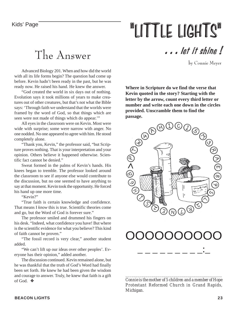# "LITTLE LIGHTS"

### The Answer

. . . let it shine !

by Connie Meyer

Advanced Biology 201. When and how did the world with all its life forms begin? The question had come up before. Kevin hadn't been ready in the past, but he was ready now. He raised his hand. He knew the answer.

"God created the world in six days out of nothing. Evolution says it took millions of years to make creatures out of other creatures, but that's not what the Bible says: 'Through faith we understand that the worlds were framed by the word of God, so that things which are seen were not made of things which do appear.'"

All eyes in the classroom were on Kevin. Most were wide with surprise; some were narrow with anger. No one nodded. No one appeared to agree with him. He stood completely alone.

"Thank you, Kevin," the professor said, "but Scripture proves nothing. That is your interpretation and your opinion. Others believe it happened otherwise. Scientific fact cannot be denied."

Sweat formed in the palms of Kevin's hands. His knees began to tremble. The professor looked around the classroom to see if anyone else would contribute to the discussion, but no one seemed to have anything to say at that moment. Kevin took the opportunity. He forced his hand up one more time.

"Kevin?"

"True faith is certain knowledge and confidence. That means I *know* this is true. Scientific theories come and go, but the Word of God is forever sure."

The professor smiled and drummed his fingers on his desk. "Indeed, what confidence you have! But where is the scientific evidence for what you believe? This kind of faith cannot be proven."

"The fossil record is very clear," another student added.

"We can't lift up our ideas over other peoples'. Everyone has their opinion," added another.

The discussion continued. Kevin remained alone, but he was thankful that the truth of God's Word had finally been set forth. He knew he had been given the wisdom and courage to answer. Truly, he knew that faith is a gift of God. ❖

**Where in Scripture do we find the verse that Kevin quoted in the story? Starting with the letter by the arrow, count every third letter or number and write each one down in the circles provided. Unscramble them to find the**



## OOOOOOOOOO

\_ \_ \_ \_ \_ \_ \_ \_ \_:\_

*Connie is the mother of 5 children and a member of Hope Protestant Reformed Church in Grand Rapids, Michigan.*

*\_\_\_\_\_\_\_\_\_\_\_\_\_\_\_\_\_\_\_\_\_\_\_\_\_\_\_\_\_\_\_\_\_\_\_\_\_\_\_\_\_\_\_\_\_\_\_\_*